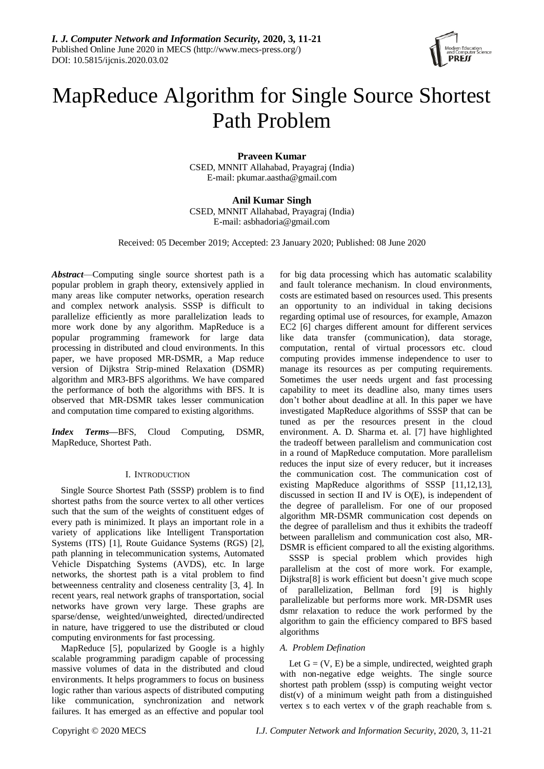

# MapReduce Algorithm for Single Source Shortest Path Problem

**Praveen Kumar** CSED, MNNIT Allahabad, Prayagraj (India) E-mail: pkumar.aastha@gmail.com

**Anil Kumar Singh** CSED, MNNIT Allahabad, Prayagraj (India) E-mail: asbhadoria@gmail.com

Received: 05 December 2019; Accepted: 23 January 2020; Published: 08 June 2020

*Abstract*—Computing single source shortest path is a popular problem in graph theory, extensively applied in many areas like computer networks, operation research and complex network analysis. SSSP is difficult to parallelize efficiently as more parallelization leads to more work done by any algorithm. MapReduce is a popular programming framework for large data processing in distributed and cloud environments. In this paper, we have proposed MR-DSMR, a Map reduce version of Dijkstra Strip-mined Relaxation (DSMR) algorithm and MR3-BFS algorithms. We have compared the performance of both the algorithms with BFS. It is observed that MR-DSMR takes lesser communication and computation time compared to existing algorithms.

*Index Terms***—**BFS, Cloud Computing, DSMR, MapReduce, Shortest Path.

# I. INTRODUCTION

Single Source Shortest Path (SSSP) problem is to find shortest paths from the source vertex to all other vertices such that the sum of the weights of constituent edges of every path is minimized. It plays an important role in a variety of applications like Intelligent Transportation Systems (ITS) [1], Route Guidance Systems (RGS) [2], path planning in telecommunication systems, Automated Vehicle Dispatching Systems (AVDS), etc. In large networks, the shortest path is a vital problem to find betweenness centrality and closeness centrality [3, 4]. In recent years, real network graphs of transportation, social networks have grown very large. These graphs are sparse/dense, weighted/unweighted, directed/undirected in nature, have triggered to use the distributed or cloud computing environments for fast processing.

MapReduce [5], popularized by Google is a highly scalable programming paradigm capable of processing massive volumes of data in the distributed and cloud environments. It helps programmers to focus on business logic rather than various aspects of distributed computing like communication, synchronization and network failures. It has emerged as an effective and popular tool

for big data processing which has automatic scalability and fault tolerance mechanism. In cloud environments, costs are estimated based on resources used. This presents an opportunity to an individual in taking decisions regarding optimal use of resources, for example, Amazon EC2 [6] charges different amount for different services like data transfer (communication), data storage, computation, rental of virtual processors etc. cloud computing provides immense independence to user to manage its resources as per computing requirements. Sometimes the user needs urgent and fast processing capability to meet its deadline also, many times users don't bother about deadline at all. In this paper we have investigated MapReduce algorithms of SSSP that can be tuned as per the resources present in the cloud environment. A. D. Sharma et. al. [7] have highlighted the tradeoff between parallelism and communication cost in a round of MapReduce computation. More parallelism reduces the input size of every reducer, but it increases the communication cost. The communication cost of existing MapReduce algorithms of SSSP [11,12,13], discussed in section II and IV is O(E), is independent of the degree of parallelism. For one of our proposed algorithm MR-DSMR communication cost depends on the degree of parallelism and thus it exhibits the tradeoff between parallelism and communication cost also, MR-DSMR is efficient compared to all the existing algorithms.

SSSP is special problem which provides high parallelism at the cost of more work. For example, Dijkstra[8] is work efficient but doesn't give much scope of parallelization, Bellman ford [9] is highly parallelizable but performs more work. MR-DSMR uses dsmr relaxation to reduce the work performed by the algorithm to gain the efficiency compared to BFS based algorithms

# *A. Problem Defination*

Let  $G = (V, E)$  be a simple, undirected, weighted graph with non-negative edge weights. The single source shortest path problem (sssp) is computing weight vector dist(v) of a minimum weight path from a distinguished vertex s to each vertex v of the graph reachable from s.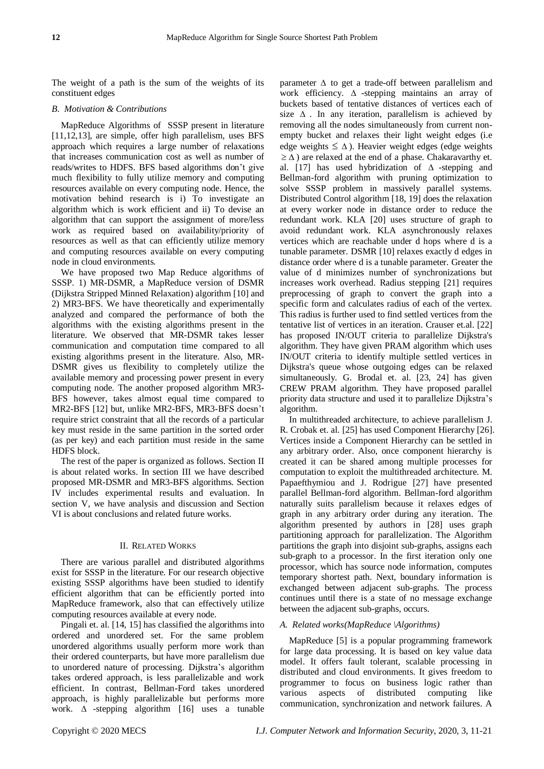The weight of a path is the sum of the weights of its constituent edges

# *B. Motivation & Contributions*

MapReduce Algorithms of SSSP present in literature [11,12,13], are simple, offer high parallelism, uses BFS approach which requires a large number of relaxations that increases communication cost as well as number of reads/writes to HDFS. BFS based algorithms don't give much flexibility to fully utilize memory and computing resources available on every computing node. Hence, the motivation behind research is i) To investigate an algorithm which is work efficient and ii) To devise an algorithm that can support the assignment of more/less work as required based on availability/priority of resources as well as that can efficiently utilize memory and computing resources available on every computing node in cloud environments.

We have proposed two Map Reduce algorithms of SSSP. 1) MR-DSMR, a MapReduce version of DSMR (Dijkstra Stripped Minned Relaxation) algorithm [10] and 2) MR3-BFS. We have theoretically and experimentally analyzed and compared the performance of both the algorithms with the existing algorithms present in the literature. We observed that MR-DSMR takes lesser communication and computation time compared to all existing algorithms present in the literature. Also, MR-DSMR gives us flexibility to completely utilize the available memory and processing power present in every computing node. The another proposed algorithm MR3- BFS however, takes almost equal time compared to MR2-BFS [12] but, unlike MR2-BFS, MR3-BFS doesn't require strict constraint that all the records of a particular key must reside in the same partition in the sorted order (as per key) and each partition must reside in the same HDFS block.

The rest of the paper is organized as follows. Section II is about related works. In section III we have described proposed MR-DSMR and MR3-BFS algorithms. Section IV includes experimental results and evaluation. In section V, we have analysis and discussion and Section VI is about conclusions and related future works.

# II. RELATED WORKS

There are various parallel and distributed algorithms exist for SSSP in the literature. For our research objective existing SSSP algorithms have been studied to identify efficient algorithm that can be efficiently ported into MapReduce framework, also that can effectively utilize computing resources available at every node.

Pingali et. al. [14, 15] has classified the algorithms into ordered and unordered set. For the same problem unordered algorithms usually perform more work than their ordered counterparts, but have more parallelism due to unordered nature of processing. Dijkstra's algorithm takes ordered approach, is less parallelizable and work efficient. In contrast, Bellman-Ford takes unordered approach, is highly parallelizable but performs more work.  $\Delta$  -stepping algorithm [16] uses a tunable

parameter  $\Delta$  to get a trade-off between parallelism and work efficiency.  $\Delta$  -stepping maintains an array of buckets based of tentative distances of vertices each of size  $\Delta$ . In any iteration, parallelism is achieved by removing all the nodes simultaneously from current nonempty bucket and relaxes their light weight edges (i.e edge weights  $\leq \Delta$ ). Heavier weight edges (edge weights  $\geq \Delta$ ) are relaxed at the end of a phase. Chakaravarthy et. al. [17] has used hybridization of  $\Delta$  -stepping and Bellman-ford algorithm with pruning optimization to solve SSSP problem in massively parallel systems. Distributed Control algorithm [18, 19] does the relaxation at every worker node in distance order to reduce the redundant work. KLA [20] uses structure of graph to avoid redundant work. KLA asynchronously relaxes vertices which are reachable under d hops where d is a tunable parameter. DSMR [10] relaxes exactly d edges in distance order where d is a tunable parameter. Greater the value of d minimizes number of synchronizations but increases work overhead. Radius stepping [21] requires preprocessing of graph to convert the graph into a specific form and calculates radius of each of the vertex. This radius is further used to find settled vertices from the tentative list of vertices in an iteration. Crauser et.al. [22] has proposed IN/OUT criteria to parallelize Dijkstra's algorithm. They have given PRAM algorithm which uses IN/OUT criteria to identify multiple settled vertices in Dijkstra's queue whose outgoing edges can be relaxed simultaneously. G. Brodal et. al. [23, 24] has given CREW PRAM algorithm. They have proposed parallel priority data structure and used it to parallelize Dijkstra's algorithm.

In multithreaded architecture, to achieve parallelism J. R. Crobak et. al. [25] has used Component Hierarchy [26]. Vertices inside a Component Hierarchy can be settled in any arbitrary order. Also, once component hierarchy is created it can be shared among multiple processes for computation to exploit the multithreaded architecture. M. Papaefthymiou and J. Rodrigue [27] have presented parallel Bellman-ford algorithm. Bellman-ford algorithm naturally suits parallelism because it relaxes edges of graph in any arbitrary order during any iteration. The algorithm presented by authors in [28] uses graph partitioning approach for parallelization. The Algorithm partitions the graph into disjoint sub-graphs, assigns each sub-graph to a processor. In the first iteration only one processor, which has source node information, computes temporary shortest path. Next, boundary information is exchanged between adjacent sub-graphs. The process continues until there is a state of no message exchange between the adjacent sub-graphs, occurs.

# *A. Related works(MapReduce \Algorithms)*

MapReduce [5] is a popular programming framework for large data processing. It is based on key value data model. It offers fault tolerant, scalable processing in distributed and cloud environments. It gives freedom to programmer to focus on business logic rather than various aspects of distributed computing like communication, synchronization and network failures. A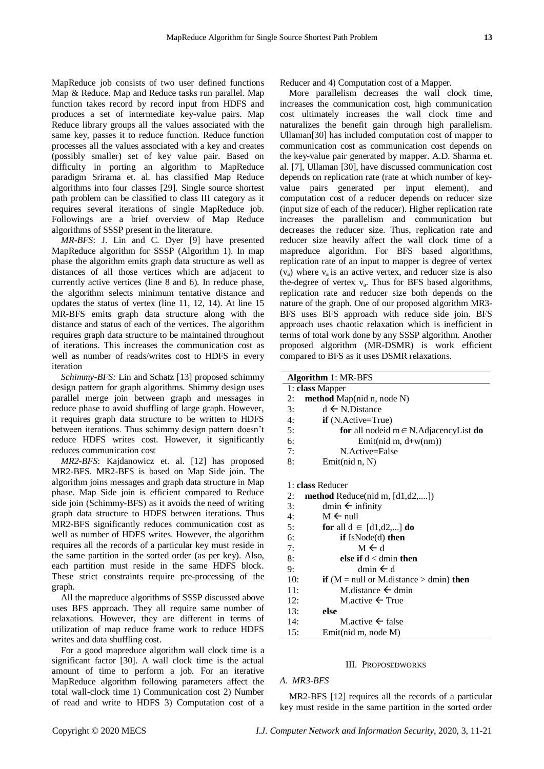MapReduce job consists of two user defined functions Map & Reduce. Map and Reduce tasks run parallel. Map function takes record by record input from HDFS and produces a set of intermediate key-value pairs. Map Reduce library groups all the values associated with the same key, passes it to reduce function. Reduce function processes all the values associated with a key and creates (possibly smaller) set of key value pair. Based on difficulty in porting an algorithm to MapReduce paradigm Srirama et. al. has classified Map Reduce algorithms into four classes [29]. Single source shortest path problem can be classified to class III category as it requires several iterations of single MapReduce job. Followings are a brief overview of Map Reduce algorithms of SSSP present in the literature.

*MR-BFS*: J. Lin and C. Dyer [9] have presented MapReduce algorithm for SSSP (Algorithm 1). In map phase the algorithm emits graph data structure as well as distances of all those vertices which are adjacent to currently active vertices (line 8 and 6). In reduce phase, the algorithm selects minimum tentative distance and updates the status of vertex (line 11, 12, 14). At line 15 MR-BFS emits graph data structure along with the distance and status of each of the vertices. The algorithm requires graph data structure to be maintained throughout of iterations. This increases the communication cost as well as number of reads/writes cost to HDFS in every iteration

*Schimmy-BFS:* Lin and Schatz [13] proposed schimmy design pattern for graph algorithms. Shimmy design uses parallel merge join between graph and messages in reduce phase to avoid shuffling of large graph. However, it requires graph data structure to be written to HDFS between iterations. Thus schimmy design pattern doesn't reduce HDFS writes cost. However, it significantly reduces communication cost

*MR2-BFS*: Kajdanowicz et. al. [12] has proposed MR2-BFS. MR2-BFS is based on Map Side join. The algorithm joins messages and graph data structure in Map phase. Map Side join is efficient compared to Reduce side join (Schimmy-BFS) as it avoids the need of writing graph data structure to HDFS between iterations. Thus MR2-BFS significantly reduces communication cost as well as number of HDFS writes. However, the algorithm requires all the records of a particular key must reside in the same partition in the sorted order (as per key). Also, each partition must reside in the same HDFS block. These strict constraints require pre-processing of the graph.

All the mapreduce algorithms of SSSP discussed above uses BFS approach. They all require same number of relaxations. However, they are different in terms of utilization of map reduce frame work to reduce HDFS writes and data shuffling cost.

For a good mapreduce algorithm wall clock time is a significant factor [30]. A wall clock time is the actual amount of time to perform a job. For an iterative MapReduce algorithm following parameters affect the total wall-clock time 1) Communication cost 2) Number of read and write to HDFS 3) Computation cost of a Reducer and 4) Computation cost of a Mapper.

More parallelism decreases the wall clock time, increases the communication cost, high communication cost ultimately increases the wall clock time and naturalizes the benefit gain through high parallelism. Ullaman[30] has included computation cost of mapper to communication cost as communication cost depends on the key-value pair generated by mapper. A.D. Sharma et. al. [7], Ullaman [30], have discussed communication cost depends on replication rate (rate at which number of keyvalue pairs generated per input element), and computation cost of a reducer depends on reducer size (input size of each of the reducer). Higher replication rate increases the parallelism and communication but decreases the reducer size. Thus, replication rate and reducer size heavily affect the wall clock time of a mapreduce algorithm. For BFS based algorithms, replication rate of an input to mapper is degree of vertex  $(v_a)$  where  $v_a$  is an active vertex, and reducer size is also the-degree of vertex  $v_a$ . Thus for BFS based algorithms, replication rate and reducer size both depends on the nature of the graph. One of our proposed algorithm MR3- BFS uses BFS approach with reduce side join. BFS approach uses chaotic relaxation which is inefficient in terms of total work done by any SSSP algorithm. Another proposed algorithm (MR-DSMR) is work efficient compared to BFS as it uses DSMR relaxations.

| <b>Algorithm 1: MR-BFS</b> |                                                            |  |  |
|----------------------------|------------------------------------------------------------|--|--|
|                            | 1: class Mapper                                            |  |  |
| 2:                         | method Map(nid n, node N)                                  |  |  |
| 3:                         | $d \leftarrow N.D$ istance                                 |  |  |
| 4:                         | $if(N.Active=True)$                                        |  |  |
| 5:                         | for all nodeid $m \in N$ . Adjacency List do               |  |  |
| 6:                         | Emit(nid m, $d+w(nm)$ )                                    |  |  |
| 7:                         | N.Active=False                                             |  |  |
| 8:                         | Emit(nid $n, N$ )                                          |  |  |
|                            |                                                            |  |  |
|                            | 1: class Reducer                                           |  |  |
| 2:                         | $method$ Reduce(nid m, $[d1,d2,]$ )                        |  |  |
| 3:                         | dmin $\leftarrow$ infinity                                 |  |  |
| 4:                         | $M \leftarrow null$                                        |  |  |
| 5:                         | for all $d \in [d1,d2,]$ do                                |  |  |
| 6:                         | if $IsNode(d)$ then                                        |  |  |
| 7:                         | $M \leftarrow d$                                           |  |  |
| 8:                         | else if $d <$ dmin then                                    |  |  |
| 9:                         | dmin $\leftarrow$ d                                        |  |  |
| 10:                        | <b>if</b> ( $M = null$ or M.distance $>$ dmin) <b>then</b> |  |  |
| 11:                        | M.distance $\leftarrow$ dmin                               |  |  |
| 12:                        | M.active $\leftarrow$ True                                 |  |  |
| 13:                        | else                                                       |  |  |
| 14:                        | M.active $\leftarrow$ false                                |  |  |
| 15:                        | Emit(nid m, node M)                                        |  |  |

#### III. PROPOSEDWORKS

#### *A. MR3-BFS*

MR2-BFS [12] requires all the records of a particular key must reside in the same partition in the sorted order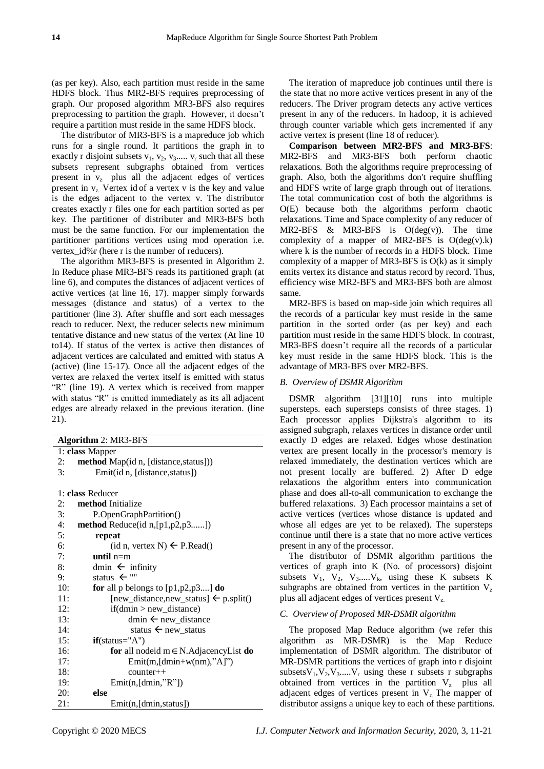(as per key). Also, each partition must reside in the same HDFS block. Thus MR2-BFS requires preprocessing of graph. Our proposed algorithm MR3-BFS also requires preprocessing to partition the graph. However, it doesn't require a partition must reside in the same HDFS block.

The distributor of MR3-BFS is a mapreduce job which runs for a single round. It partitions the graph in to exactly r disjoint subsets  $v_1$ ,  $v_2$ ,  $v_3$ .....  $v_r$  such that all these subsets represent subgraphs obtained from vertices present in  $v_z$  plus all the adjacent edges of vertices present in  $v_z$ . Vertex id of a vertex v is the key and value is the edges adjacent to the vertex v. The distributor creates exactly r files one for each partition sorted as per key. The partitioner of distributer and MR3-BFS both must be the same function. For our implementation the partitioner partitions vertices using mod operation i.e. vertex id%r (here r is the number of reducers).

The algorithm MR3-BFS is presented in Algorithm 2. In Reduce phase MR3-BFS reads its partitioned graph (at line 6), and computes the distances of adjacent vertices of active vertices (at line 16, 17). mapper simply forwards messages (distance and status) of a vertex to the partitioner (line 3). After shuffle and sort each messages reach to reducer. Next, the reducer selects new minimum tentative distance and new status of the vertex (At line 10 to14). If status of the vertex is active then distances of adjacent vertices are calculated and emitted with status A (active) (line 15-17). Once all the adjacent edges of the vertex are relaxed the vertex itself is emitted with status "R" (line 19). A vertex which is received from mapper with status "R" is emitted immediately as its all adjacent edges are already relaxed in the previous iteration. (line 21).

The iteration of mapreduce job continues until there is the state that no more active vertices present in any of the reducers. The Driver program detects any active vertices present in any of the reducers. In hadoop, it is achieved through counter variable which gets incremented if any active vertex is present (line 18 of reducer).

**Comparison between MR2-BFS and MR3-BFS**: MR2-BFS and MR3-BFS both perform chaotic relaxations. Both the algorithms require preprocessing of graph. Also, both the algorithms don't require shuffling and HDFS write of large graph through out of iterations. The total communication cost of both the algorithms is O(E) because both the algorithms perform chaotic relaxations. Time and Space complexity of any reducer of MR2-BFS  $\&$  MR3-BFS is  $O(deg(v))$ . The time complexity of a mapper of MR2-BFS is  $O(deg(v).k)$ where k is the number of records in a HDFS block. Time complexity of a mapper of MR3-BFS is O(k) as it simply emits vertex its distance and status record by record. Thus, efficiency wise MR2-BFS and MR3-BFS both are almost same.

MR2-BFS is based on map-side join which requires all the records of a particular key must reside in the same partition in the sorted order (as per key) and each partition must reside in the same HDFS block. In contrast, MR3-BFS doesn't require all the records of a particular key must reside in the same HDFS block. This is the advantage of MR3-BFS over MR2-BFS.

## *B. Overview of DSMR Algorithm*

DSMR algorithm [31][10] runs into multiple supersteps. each supersteps consists of three stages. 1) Each processor applies Dijkstra's algorithm to its assigned subgraph, relaxes vertices in distance order until exactly D edges are relaxed. Edges whose destination vertex are present locally in the processor's memory is relaxed immediately, the destination vertices which are not present locally are buffered. 2) After D edge relaxations the algorithm enters into communication phase and does all-to-all communication to exchange the buffered relaxations. 3) Each processor maintains a set of active vertices (vertices whose distance is updated and whose all edges are yet to be relaxed). The supersteps continue until there is a state that no more active vertices present in any of the processor.

The distributor of DSMR algorithm partitions the vertices of graph into K (No. of processors) disjoint subsets  $V_1$ ,  $V_2$ ,  $V_3$ ..... $V_k$ , using these K subsets K subgraphs are obtained from vertices in the partition  $V_z$ plus all adjacent edges of vertices present Vz.

# *C. Overview of Proposed MR-DSMR algorithm*

The proposed Map Reduce algorithm (we refer this algorithm as MR-DSMR) is the Map Reduce implementation of DSMR algorithm. The distributor of MR-DSMR partitions the vertices of graph into r disjoint subsets  $V_1, V_2, V_3, \ldots, V_r$  using these r subsets r subgraphs obtained from vertices in the partition  $V_z$  plus all adjacent edges of vertices present in  $V<sub>z</sub>$ . The mapper of distributor assigns a unique key to each of these partitions.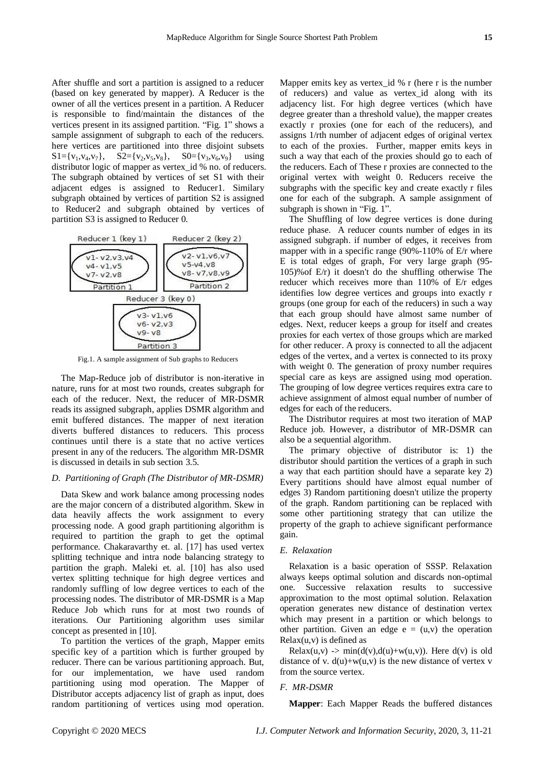After shuffle and sort a partition is assigned to a reducer (based on key generated by mapper). A Reducer is the owner of all the vertices present in a partition. A Reducer is responsible to find/maintain the distances of the vertices present in its assigned partition. "Fig. 1" shows a sample assignment of subgraph to each of the reducers. here vertices are partitioned into three disjoint subsets  $S1 = \{v_1, v_4, v_7\}, \quad S2 = \{v_2, v_5, v_8\}, \quad S0 = \{v_3, v_6, v_9\} \quad \text{using}$ distributor logic of mapper as vertex\_id % no. of reducers. The subgraph obtained by vertices of set S1 with their adjacent edges is assigned to Reducer1. Similary subgraph obtained by vertices of partition S2 is assigned to Reducer2 and subgraph obtained by vertices of partition S3 is assigned to Reducer 0.



Fig.1. A sample assignment of Sub graphs to Reducers

The Map-Reduce job of distributor is non-iterative in nature, runs for at most two rounds, creates subgraph for each of the reducer. Next, the reducer of MR-DSMR reads its assigned subgraph, applies DSMR algorithm and emit buffered distances. The mapper of next iteration diverts buffered distances to reducers. This process continues until there is a state that no active vertices present in any of the reducers. The algorithm MR-DSMR is discussed in details in sub section 3.5.

#### *D. Partitioning of Graph (The Distributor of MR-DSMR)*

Data Skew and work balance among processing nodes are the major concern of a distributed algorithm. Skew in data heavily affects the work assignment to every processing node. A good graph partitioning algorithm is required to partition the graph to get the optimal performance. Chakaravarthy et. al. [17] has used vertex splitting technique and intra node balancing strategy to partition the graph. Maleki et. al. [10] has also used vertex splitting technique for high degree vertices and randomly suffling of low degree vertices to each of the processing nodes. The distributor of MR-DSMR is a Map Reduce Job which runs for at most two rounds of iterations. Our Partitioning algorithm uses similar concept as presented in [10].

To partition the vertices of the graph, Mapper emits specific key of a partition which is further grouped by reducer. There can be various partitioning approach. But, for our implementation, we have used random partitioning using mod operation. The Mapper of Distributor accepts adjacency list of graph as input, does random partitioning of vertices using mod operation.

Mapper emits key as vertex\_id % r (here r is the number of reducers) and value as vertex\_id along with its adjacency list. For high degree vertices (which have degree greater than a threshold value), the mapper creates exactly r proxies (one for each of the reducers), and assigns 1/rth number of adjacent edges of original vertex to each of the proxies. Further, mapper emits keys in such a way that each of the proxies should go to each of the reducers. Each of These r proxies are connected to the original vertex with weight 0. Reducers receive the subgraphs with the specific key and create exactly r files one for each of the subgraph. A sample assignment of subgraph is shown in "Fig. 1".

The Shuffling of low degree vertices is done during reduce phase. A reducer counts number of edges in its assigned subgraph. if number of edges, it receives from mapper with in a specific range (90%-110% of E/r where E is total edges of graph, For very large graph (95- 105)%of E/r) it doesn't do the shuffling otherwise The reducer which receives more than 110% of E/r edges identifies low degree vertices and groups into exactly r groups (one group for each of the reducers) in such a way that each group should have almost same number of edges. Next, reducer keeps a group for itself and creates proxies for each vertex of those groups which are marked for other reducer. A proxy is connected to all the adjacent edges of the vertex, and a vertex is connected to its proxy with weight 0. The generation of proxy number requires special care as keys are assigned using mod operation. The grouping of low degree vertices requires extra care to achieve assignment of almost equal number of number of edges for each of the reducers.

The Distributor requires at most two iteration of MAP Reduce job. However, a distributor of MR-DSMR can also be a sequential algorithm.

The primary objective of distributor is: 1) the distributor should partition the vertices of a graph in such a way that each partition should have a separate key 2) Every partitions should have almost equal number of edges 3) Random partitioning doesn't utilize the property of the graph. Random partitioning can be replaced with some other partitioning strategy that can utilize the property of the graph to achieve significant performance gain.

## *E. Relaxation*

Relaxation is a basic operation of SSSP. Relaxation always keeps optimal solution and discards non-optimal one. Successive relaxation results to successive approximation to the most optimal solution. Relaxation operation generates new distance of destination vertex which may present in a partition or which belongs to other partition. Given an edge  $e = (u,v)$  the operation  $Relax(u,v)$  is defined as

Relax(u,v)  $\rightarrow$  min(d(v),d(u)+w(u,v)). Here d(v) is old distance of v.  $d(u)+w(u,v)$  is the new distance of vertex v from the source vertex.

## *F. MR-DSMR*

**Mapper**: Each Mapper Reads the buffered distances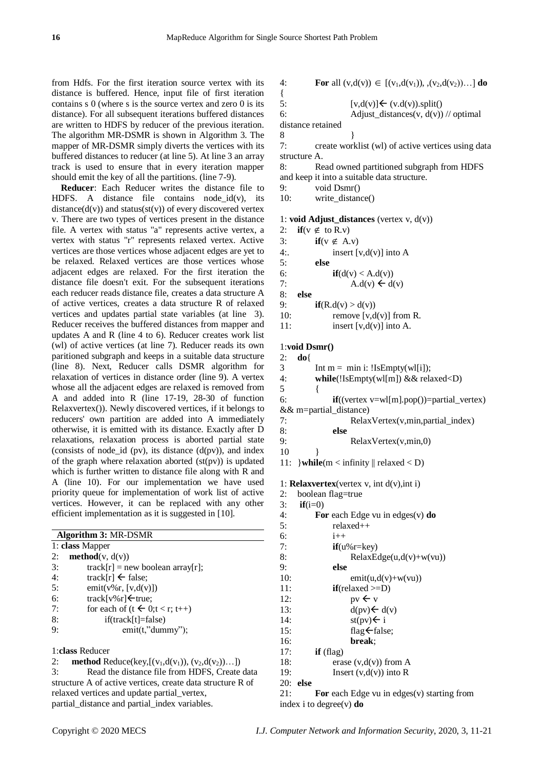{

from Hdfs. For the first iteration source vertex with its distance is buffered. Hence, input file of first iteration contains s 0 (where s is the source vertex and zero 0 is its distance). For all subsequent iterations buffered distances are written to HDFS by reducer of the previous iteration. The algorithm MR-DSMR is shown in Algorithm 3. The mapper of MR-DSMR simply diverts the vertices with its buffered distances to reducer (at line 5). At line 3 an array track is used to ensure that in every iteration mapper should emit the key of all the partitions. (line 7-9).

**Reducer**: Each Reducer writes the distance file to HDFS. A distance file contains node\_id(v), its distance( $d(v)$ ) and status( $st(v)$ ) of every discovered vertex v. There are two types of vertices present in the distance file. A vertex with status "a" represents active vertex, a vertex with status "r" represents relaxed vertex. Active vertices are those vertices whose adjacent edges are yet to be relaxed. Relaxed vertices are those vertices whose adjacent edges are relaxed. For the first iteration the distance file doesn't exit. For the subsequent iterations each reducer reads distance file, creates a data structure A of active vertices, creates a data structure R of relaxed vertices and updates partial state variables (at line 3). Reducer receives the buffered distances from mapper and updates A and R (line 4 to 6). Reducer creates work list (wl) of active vertices (at line 7). Reducer reads its own paritioned subgraph and keeps in a suitable data structure (line 8). Next, Reducer calls DSMR algorithm for relaxation of vertices in distance order (line 9). A vertex whose all the adjacent edges are relaxed is removed from A and added into R (line 17-19, 28-30 of function Relaxvertex()). Newly discovered vertices, if it belongs to reducers' own partition are added into A immediately otherwise, it is emitted with its distance. Exactly after D relaxations, relaxation process is aborted partial state (consists of node\_id (pv), its distance  $(d(pv))$ , and index of the graph where relaxation aborted  $(st(pv))$  is updated which is further written to distance file along with R and A (line 10). For our implementation we have used priority queue for implementation of work list of active vertices. However, it can be replaced with any other efficient implementation as it is suggested in [10].

| Algorithm 3: MR-DSMR |                                               |  |  |
|----------------------|-----------------------------------------------|--|--|
| 1: class Mapper      |                                               |  |  |
| 2:                   | $\mathbf{method}(v, d(v))$                    |  |  |
| 3:                   | $track[r] = new boolean array[r];$            |  |  |
| 4:                   | track[r] $\leftarrow$ false;                  |  |  |
| 5:                   | emit( $v\%$ r, [ $v, d(v)$ ])                 |  |  |
| 6:                   | track[v%r] $\leftarrow$ true;                 |  |  |
| 7:                   | for each of $(t \leftarrow 0; t \leq r; t++)$ |  |  |
| 8:                   | $if (track[t]=false)$                         |  |  |
| 9:                   | emit(t," dummy');                             |  |  |
|                      |                                               |  |  |

1:**class** Reducer

2: **method** Reduce(key,  $[(v_1, d(v_1)), (v_2, d(v_2))...])$ 

3: Read the distance file from HDFS, Create data structure A of active vertices, create data structure R of relaxed vertices and update partial\_vertex, partial\_distance and partial\_index variables.

4: **For** all 
$$
(v,d(v)) \in [(v_1,d(v_1)), (v_2,d(v_2))...]
$$
 **do**

1  
5: [v,d(v)]
$$
\leftarrow
$$
 (v,d(v)).split()  
6: Adiust distance(y, d(v))

6: Adjust\_distances(v,  $d(v)$ ) // optimal

distance retained 8 }

7: create worklist (wl) of active vertices using data structure A.

8: Read owned partitioned subgraph from HDFS and keep it into a suitable data structure.

9: void Dsmr()

10: write\_distance()

#### 1: **void Adjust\_distances** (vertex v, d(v))

| 2:               | $if(v \notin to R.v)$     |
|------------------|---------------------------|
| $\overline{3}$ : | $if(v \notin A.v)$        |
| 4:               | insert $[v,d(v)]$ into A  |
| 5:               | else                      |
| 6:               | if(d(v) < A.d(v))         |
| 7:               | $A.d(v) \leftarrow d(v)$  |
| 8:               | else                      |
| 9:               | if(R.d(v) > d(v))         |
| 10:              | remove $[v,d(v)]$ from R. |
|                  |                           |

11: insert  $[v.d(v)]$  into A.

# 1:**void Dsmr()**

2: **do**{ 3 Int m = min i: !IsEmpty(wl[i]); 4: **while**(!IsEmpty(wl[m]) && relaxed<D) 5 { 6: **if**((vertex v=wl[m].pop())=partial\_vertex)  $&$  m=partial distance) 7: RelaxVertex(v,min,partial\_index) 8: **else** 9: RelaxVertex(v,min,0) 10 } 11: }**while**(m < infinity || relaxed < D)

1: **Relaxvertex**(vertex v, int d(v),int i)

```
2: boolean flag=true
```

```
3: if(i=0)
```
4: **For** each Edge vu in edges(v) **do**

| 5:  | $relaxed++$                |
|-----|----------------------------|
| 6:  | $1 + +$                    |
| 7:  | $if(u\%r=key)$             |
| 8:  | $RelaxEdge(u, d(v)+w(vu))$ |
| 9:  | else                       |
| 10: | $emit(u, d(v)+w(vu))$      |
| 11: | $if (relaxed >= D)$        |
| 12: | $pv \leftarrow v$          |
| 13: | $d(pv) \leftarrow d(v)$    |
| 14: | $st(pv) \leftarrow i$      |
| 15: | flag $\leftarrow$ false;   |
| 16: | break:                     |
| 17: | $if$ (flag)                |
| 18: | erase $(v, d(v))$ from A   |
| 19: | Insert $(v,d(v))$ into R   |
|     |                            |

20: **else**

21: **For** each Edge vu in edges(v) starting from index i to degree(v) **do**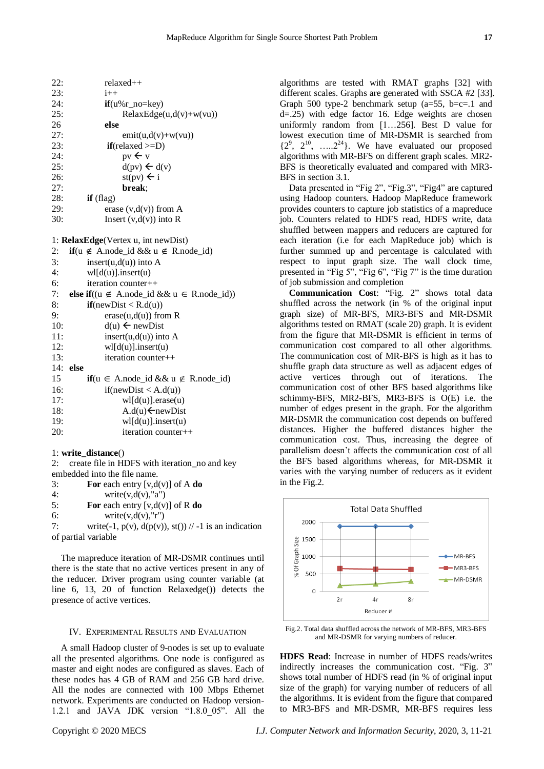| 22: | $relaxed++$                                                 |
|-----|-------------------------------------------------------------|
| 23: | $i++$                                                       |
| 24: | $if(u\%r_to=key)$                                           |
| 25: | $RelaxEdge(u, d(v)+w(vu))$                                  |
| 26  | else                                                        |
| 27: | $emit(u,d(v)+w(vu))$                                        |
| 23: | $if(relaxed >=D)$                                           |
| 24: | $pv \leftarrow v$                                           |
| 25: | $d(pv) \leftarrow d(v)$                                     |
| 26: | $\text{st}(pv) \leftarrow i$                                |
| 27: | break;                                                      |
| 28: | $if$ (flag)                                                 |
| 29: | erase $(v,d(v))$ from A                                     |
| 30: | Insert $(v,d(v))$ into R                                    |
|     |                                                             |
|     | 1: RelaxEdge(Vertex u, int newDist)                         |
| 2:  | <b>if</b> ( $u \notin A$ .node_id && $u \notin R$ .node_id) |
| 3:  | insert $(u,d(u))$ into A                                    |
| 4:  | $wl[d(u)]$ .insert(u)                                       |
| 6:  | $iteration counter++$                                       |
| 7:  | else if((u ∉ A.node_id && u ∈ R.node_id))                   |
| 8:  | if(newDist < R.d(u))                                        |
| 9:  | $erase(u,d(u))$ from R                                      |
| 10: | $d(u) \leftarrow newDist$                                   |
| 11: | $insert(u,d(u))$ into A                                     |
| 12: | $wl[d(u)]$ .insert(u)                                       |
| 13: | iteration counter++                                         |
| 14: | else                                                        |
| 15  | <b>if</b> ( $u \in A$ .node_id && $u \notin R$ .node_id)    |
| 16: | if(newDist < A.d(u))                                        |
| 17: | $wl[d(u)]$ .erase $(u)$                                     |
| 18: | $A.d(u) \leftarrow newDist$                                 |
| 19: | $wl[d(u)]$ .insert(u)                                       |

1: **write\_distance**()

2: create file in HDFS with iteration\_no and key embedded into the file name.

| $\overline{3}$ :    | For each entry $[v,d(v)]$ of A do                        |
|---------------------|----------------------------------------------------------|
| 4:                  | write(v,d(v), "a")                                       |
| 5:                  | For each entry [v,d(v)] of R do                          |
| 6:                  | write $(v,d(v), "r")$                                    |
| 7:                  | write(-1, p(v), $d(p(v))$ , st()) // -1 is an indication |
| of partial variable |                                                          |

20: iteration counter++

The mapreduce iteration of MR-DSMR continues until there is the state that no active vertices present in any of the reducer. Driver program using counter variable (at line 6, 13, 20 of function Relaxedge()) detects the presence of active vertices.

# IV. EXPERIMENTAL RESULTS AND EVALUATION

A small Hadoop cluster of 9-nodes is set up to evaluate all the presented algorithms. One node is configured as master and eight nodes are configured as slaves. Each of these nodes has 4 GB of RAM and 256 GB hard drive. All the nodes are connected with 100 Mbps Ethernet network. Experiments are conducted on Hadoop version-1.2.1 and JAVA JDK version "1.8.0\_05". All the

algorithms are tested with RMAT graphs [32] with different scales. Graphs are generated with SSCA #2 [33]. Graph 500 type-2 benchmark setup  $(a=55, b=c=1$  and d=.25) with edge factor 16. Edge weights are chosen uniformly random from [1…256]. Best D value for lowest execution time of MR-DSMR is searched from  $\{2^9, 2^{10}, \ldots, 2^{24}\}$ . We have evaluated our proposed algorithms with MR-BFS on different graph scales. MR2- BFS is theoretically evaluated and compared with MR3- BFS in section 3.1.

Data presented in "Fig 2", "Fig.3", "Fig4" are captured using Hadoop counters. Hadoop MapReduce framework provides counters to capture job statistics of a mapreduce job. Counters related to HDFS read, HDFS write, data shuffled between mappers and reducers are captured for each iteration (i.e for each MapReduce job) which is further summed up and percentage is calculated with respect to input graph size. The wall clock time, presented in "Fig 5", "Fig 6", "Fig 7" is the time duration of job submission and completion

**Communication Cost**: "Fig. 2" shows total data shuffled across the network (in % of the original input graph size) of MR-BFS, MR3-BFS and MR-DSMR algorithms tested on RMAT (scale 20) graph. It is evident from the figure that MR-DSMR is efficient in terms of communication cost compared to all other algorithms. The communication cost of MR-BFS is high as it has to shuffle graph data structure as well as adjacent edges of active vertices through out of iterations. The communication cost of other BFS based algorithms like schimmy-BFS, MR2-BFS, MR3-BFS is O(E) i.e. the number of edges present in the graph. For the algorithm MR-DSMR the communication cost depends on buffered distances. Higher the buffered distances higher the communication cost. Thus, increasing the degree of parallelism doesn't affects the communication cost of all the BFS based algorithms whereas, for MR-DSMR it varies with the varying number of reducers as it evident in the Fig.2.



Fig.2. Total data shuffled across the network of MR-BFS, MR3-BFS and MR-DSMR for varying numbers of reducer.

**HDFS Read**: Increase in number of HDFS reads/writes indirectly increases the communication cost. "Fig. 3" shows total number of HDFS read (in % of original input size of the graph) for varying number of reducers of all the algorithms. It is evident from the figure that compared to MR3-BFS and MR-DSMR, MR-BFS requires less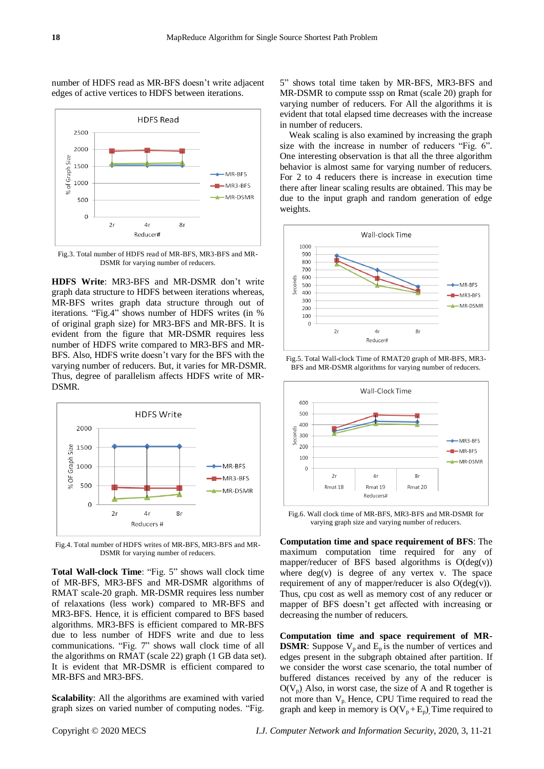

number of HDFS read as MR-BFS doesn't write adjacent edges of active vertices to HDFS between iterations.

Fig.3. Total number of HDFS read of MR-BFS, MR3-BFS and MR-DSMR for varying number of reducers.

**HDFS Write**: MR3-BFS and MR-DSMR don't write graph data structure to HDFS between iterations whereas, MR-BFS writes graph data structure through out of iterations. "Fig.4" shows number of HDFS writes (in % of original graph size) for MR3-BFS and MR-BFS. It is evident from the figure that MR-DSMR requires less number of HDFS write compared to MR3-BFS and MR-BFS. Also, HDFS write doesn't vary for the BFS with the varying number of reducers. But, it varies for MR-DSMR. Thus, degree of parallelism affects HDFS write of MR-DSMR.



Fig.4. Total number of HDFS writes of MR-BFS, MR3-BFS and MR-DSMR for varying number of reducers.

**Total Wall-clock Time**: "Fig. 5" shows wall clock time of MR-BFS, MR3-BFS and MR-DSMR algorithms of RMAT scale-20 graph. MR-DSMR requires less number of relaxations (less work) compared to MR-BFS and MR3-BFS. Hence, it is efficient compared to BFS based algorithms. MR3-BFS is efficient compared to MR-BFS due to less number of HDFS write and due to less communications. "Fig. 7" shows wall clock time of all the algorithms on RMAT (scale 22) graph (1 GB data set). It is evident that MR-DSMR is efficient compared to MR-BFS and MR3-BFS.

**Scalability**: All the algorithms are examined with varied graph sizes on varied number of computing nodes. "Fig.

5" shows total time taken by MR-BFS, MR3-BFS and MR-DSMR to compute sssp on Rmat (scale 20) graph for varying number of reducers. For All the algorithms it is evident that total elapsed time decreases with the increase in number of reducers.

Weak scaling is also examined by increasing the graph size with the increase in number of reducers "Fig. 6". One interesting observation is that all the three algorithm behavior is almost same for varying number of reducers. For 2 to 4 reducers there is increase in execution time there after linear scaling results are obtained. This may be due to the input graph and random generation of edge weights.







Fig.6. Wall clock time of MR-BFS, MR3-BFS and MR-DSMR for varying graph size and varying number of reducers.

**Computation time and space requirement of BFS**: The maximum computation time required for any of mapper/reducer of BFS based algorithms is  $O(deg(v))$ where  $deg(v)$  is degree of any vertex v. The space requirement of any of mapper/reducer is also  $O(deg(v))$ . Thus, cpu cost as well as memory cost of any reducer or mapper of BFS doesn't get affected with increasing or decreasing the number of reducers.

**Computation time and space requirement of MR-DSMR**: Suppose  $V_p$  and  $E_p$  is the number of vertices and edges present in the subgraph obtained after partition. If we consider the worst case scenario, the total number of buffered distances received by any of the reducer is  $O(V_p)$ . Also, in worst case, the size of A and R together is not more than  $V_{p}$ . Hence, CPU Time required to read the graph and keep in memory is  $O(V_p + E_p)$ . Time required to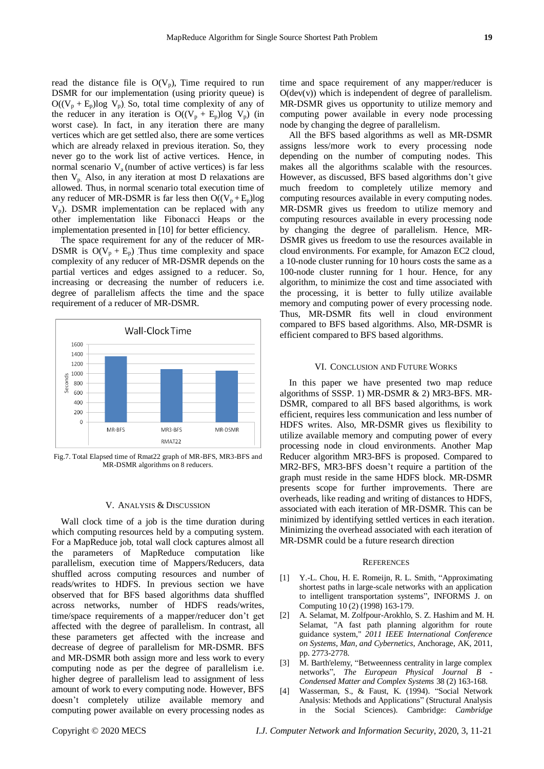read the distance file is  $O(V_p)$ , Time required to run DSMR for our implementation (using priority queue) is  $O((V_p + E_p) \log V_p)$ . So, total time complexity of any of the reducer in any iteration is  $O((V_p + E_p) \log V_p)$  (in worst case). In fact, in any iteration there are many vertices which are get settled also, there are some vertices which are already relaxed in previous iteration. So, they never go to the work list of active vertices. Hence, in normal scenario  $V_a$  (number of active vertices) is far less then  $V_p$ . Also, in any iteration at most D relaxations are allowed. Thus, in normal scenario total execution time of any reducer of MR-DSMR is far less then  $O((V_p + E_p)log$  $V_p$ ). DSMR implementation can be replaced with any other implementation like Fibonacci Heaps or the implementation presented in [10] for better efficiency.

The space requirement for any of the reducer of MR-DSMR is  $O(V_p + E_p)$ . Thus time complexity and space complexity of any reducer of MR-DSMR depends on the partial vertices and edges assigned to a reducer. So, increasing or decreasing the number of reducers i.e. degree of parallelism affects the time and the space requirement of a reducer of MR-DSMR.



Fig.7. Total Elapsed time of Rmat22 graph of MR-BFS, MR3-BFS and MR-DSMR algorithms on 8 reducers.

## V. ANALYSIS & DISCUSSION

Wall clock time of a job is the time duration during which computing resources held by a computing system. For a MapReduce job, total wall clock captures almost all the parameters of MapReduce computation like parallelism, execution time of Mappers/Reducers, data shuffled across computing resources and number of reads/writes to HDFS. In previous section we have observed that for BFS based algorithms data shuffled across networks, number of HDFS reads/writes, time/space requirements of a mapper/reducer don't get affected with the degree of parallelism. In contrast, all these parameters get affected with the increase and decrease of degree of parallelism for MR-DSMR. BFS and MR-DSMR both assign more and less work to every computing node as per the degree of parallelism i.e. higher degree of parallelism lead to assignment of less amount of work to every computing node. However, BFS doesn't completely utilize available memory and computing power available on every processing nodes as

time and space requirement of any mapper/reducer is  $O(dev(v))$  which is independent of degree of parallelism. MR-DSMR gives us opportunity to utilize memory and computing power available in every node processing node by changing the degree of parallelism.

All the BFS based algorithms as well as MR-DSMR assigns less/more work to every processing node depending on the number of computing nodes. This makes all the algorithms scalable with the resources. However, as discussed, BFS based algorithms don't give much freedom to completely utilize memory and computing resources available in every computing nodes. MR-DSMR gives us freedom to utilize memory and computing resources available in every processing node by changing the degree of parallelism. Hence, MR-DSMR gives us freedom to use the resources available in cloud environments. For example, for Amazon EC2 cloud, a 10-node cluster running for 10 hours costs the same as a 100-node cluster running for 1 hour. Hence, for any algorithm, to minimize the cost and time associated with the processing, it is better to fully utilize available memory and computing power of every processing node. Thus, MR-DSMR fits well in cloud environment compared to BFS based algorithms. Also, MR-DSMR is efficient compared to BFS based algorithms.

#### VI. CONCLUSION AND FUTURE WORKS

In this paper we have presented two map reduce algorithms of SSSP. 1) MR-DSMR & 2) MR3-BFS. MR-DSMR, compared to all BFS based algorithms, is work efficient, requires less communication and less number of HDFS writes. Also, MR-DSMR gives us flexibility to utilize available memory and computing power of every processing node in cloud environments. Another Map Reducer algorithm MR3-BFS is proposed. Compared to MR2-BFS, MR3-BFS doesn't require a partition of the graph must reside in the same HDFS block. MR-DSMR presents scope for further improvements. There are overheads, like reading and writing of distances to HDFS, associated with each iteration of MR-DSMR. This can be minimized by identifying settled vertices in each iteration. Minimizing the overhead associated with each iteration of MR-DSMR could be a future research direction

#### **REFERENCES**

- [1] Y.-L. Chou, H. E. Romeijn, R. L. Smith, "Approximating shortest paths in large-scale networks with an application to intelligent transportation systems", INFORMS J. on Computing 10 (2) (1998) 163-179.
- [2] A. Selamat, M. Zolfpour-Arokhlo, S. Z. Hashim and M. H. Selamat, "A fast path planning algorithm for route guidance system," *2011 IEEE International Conference on Systems, Man, and Cybernetics*, Anchorage, AK, 2011, pp. 2773-2778.
- [3] M. Barth'elemy, "Betweenness centrality in large complex networks", *The European Physical Journal B - Condensed Matter and Complex Systems* 38 (2) 163-168.
- [4] Wasserman, S., & Faust, K. (1994). "Social Network Analysis: Methods and Applications" (Structural Analysis in the Social Sciences). Cambridge: *Cambridge*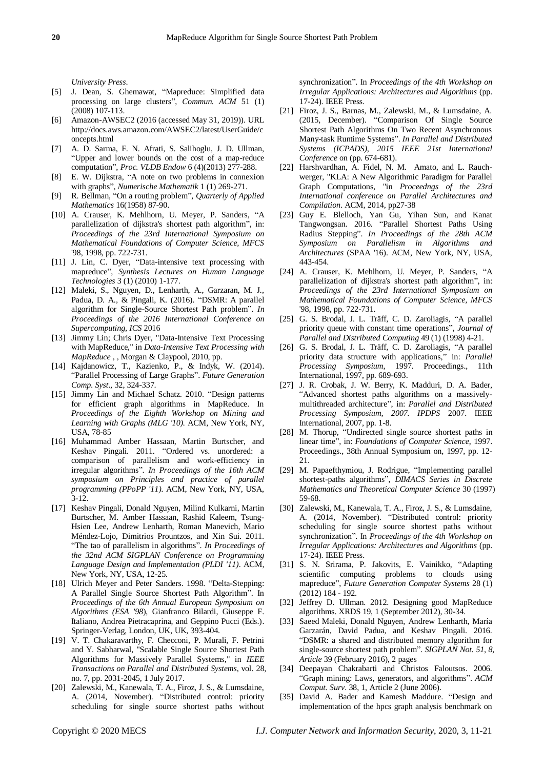*University Press*.

- [5] J. Dean, S. Ghemawat, "Mapreduce: Simplified data processing on large clusters", *Commun. ACM* 51 (1) (2008) 107-113.
- [6] Amazon-AWSEC2 (2016 (accessed May 31, 2019)). URL http://docs.aws.amazon.com/AWSEC2/latest/UserGuide/c oncepts.html
- [7] A. D. Sarma, F. N. Afrati, S. Salihoglu, J. D. Ullman, "Upper and lower bounds on the cost of a map-reduce computation", *Proc. VLDB Endow* 6 (4)(2013) 277-288.
- [8] E. W. Dijkstra, "A note on two problems in connexion with graphs", *Numerische Mathematik* 1 (1) 269-271.
- [9] R. Bellman, "On a routing problem", *Quarterly of Applied Mathematics* 16(1958) 87-90.
- [10] A. Crauser, K. Mehlhorn, U. Meyer, P. Sanders, "A parallelization of dijkstra's shortest path algorithm", in: *Proceedings of the 23rd International Symposium on Mathematical Foundations of Computer Science, MFCS* '98, 1998, pp. 722-731.
- [11] J. Lin, C. Dyer, "Data-intensive text processing with mapreduce", *Synthesis Lectures on Human Language Technologies* 3 (1) (2010) 1-177.
- [12] Maleki, S., Nguyen, D., Lenharth, A., Garzaran, M. J., Padua, D. A., & Pingali, K. (2016). "DSMR: A parallel algorithm for Single-Source Shortest Path problem". *In Proceedings of the 2016 International Conference on Supercomputing, ICS* 2016
- [13] Jimmy Lin; Chris Dyer, "Data-Intensive Text Processing with MapReduce," in *Data-Intensive Text Processing with MapReduce* , , Morgan & Claypool, 2010, pp.
- [14] Kajdanowicz, T., Kazienko, P., & Indyk, W. (2014). "Parallel Processing of Large Graphs". *Future Generation Comp. Syst*., 32, 324-337.
- [15] Jimmy Lin and Michael Schatz. 2010. "Design patterns for efficient graph algorithms in MapReduce. In *Proceedings of the Eighth Workshop on Mining and Learning with Graphs (MLG '10).* ACM, New York, NY, USA, 78-85
- [16] Muhammad Amber Hassaan, Martin Burtscher, and Keshav Pingali. 2011. "Ordered vs. unordered: a comparison of parallelism and work-efficiency in irregular algorithms". *In Proceedings of the 16th ACM symposium on Principles and practice of parallel programming (PPoPP '11).* ACM, New York, NY, USA, 3-12.
- [17] Keshav Pingali, Donald Nguyen, Milind Kulkarni, Martin Burtscher, M. Amber Hassaan, Rashid Kaleem, Tsung-Hsien Lee, Andrew Lenharth, Roman Manevich, Mario Méndez-Lojo, Dimitrios Prountzos, and Xin Sui. 2011. "The tao of parallelism in algorithms". *In Proceedings of the 32nd ACM SIGPLAN Conference on Programming Language Design and Implementation (PLDI '11)*. ACM, New York, NY, USA, 12-25.
- [18] Ulrich Meyer and Peter Sanders. 1998. "Delta-Stepping: A Parallel Single Source Shortest Path Algorithm". In *Proceedings of the 6th Annual European Symposium on Algorithms (ESA '98*), Gianfranco Bilardi, Giuseppe F. Italiano, Andrea Pietracaprina, and Geppino Pucci (Eds.). Springer-Verlag, London, UK, UK, 393-404.
- [19] V. T. Chakaravarthy, F. Checconi, P. Murali, F. Petrini and Y. Sabharwal, "Scalable Single Source Shortest Path Algorithms for Massively Parallel Systems," in *IEEE Transactions on Parallel and Distributed Systems,* vol. 28, no. 7, pp. 2031-2045, 1 July 2017.
- [20] Zalewski, M., Kanewala, T. A., Firoz, J. S., & Lumsdaine, A. (2014, November). "Distributed control: priority scheduling for single source shortest paths without

synchronization". In *Proceedings of the 4th Workshop on Irregular Applications: Architectures and Algorithms* (pp. 17-24). IEEE Press.

- [21] Firoz, J. S., Barnas, M., Zalewski, M., & Lumsdaine, A. (2015, December). "Comparison Of Single Source Shortest Path Algorithms On Two Recent Asynchronous Many-task Runtime Systems". *In Parallel and Distributed Systems (ICPADS), 2015 IEEE 21st International Conference* on (pp. 674-681).
- [22] Harshvardhan, A. Fidel, N. M. Amato, and L. Rauchwerger, "KLA: A New Algorithmic Paradigm for Parallel Graph Computations, "in *Proceedngs of the 23rd International conference on Parallel Architectures and Compilation*. ACM, 2014, pp27-38
- [23] Guy E. Blelloch, Yan Gu, Yihan Sun, and Kanat Tangwongsan. 2016. "Parallel Shortest Paths Using Radius Stepping". *In Proceedings of the 28th ACM Symposium on Parallelism in Algorithms and Architectures* (SPAA '16). ACM, New York, NY, USA, 443-454.
- [24] A. Crauser, K. Mehlhorn, U. Meyer, P. Sanders, "A parallelization of dijkstra's shortest path algorithm", in: *Proceedings of the 23rd International Symposium on Mathematical Foundations of Computer Science, MFCS* '98, 1998, pp. 722-731.
- [25] G. S. Brodal, J. L. Träff, C. D. Zaroliagis, "A parallel priority queue with constant time operations", *Journal of Parallel and Distributed Computing* 49 (1) (1998) 4-21.
- [26] G. S. Brodal, J. L. Träff, C. D. Zaroliagis, "A parallel priority data structure with applications," in: *Parallel Processing Symposium*, 1997. Proceedings., 11th International, 1997, pp. 689-693.
- [27] J. R. Crobak, J. W. Berry, K. Madduri, D. A. Bader, "Advanced shortest paths algorithms on a massivelymultithreaded architecture", in: *Parallel and Distributed Processing Symposium, 2007. IPDPS* 2007. IEEE International, 2007, pp. 1-8.
- [28] M. Thorup, "Undirected single source shortest paths in linear time", in: *Foundations of Computer Science*, 1997. Proceedings., 38th Annual Symposium on, 1997, pp. 12- 21.
- [29] M. Papaefthymiou, J. Rodrigue, "Implementing parallel shortest-paths algorithms", *DIMACS Series in Discrete Mathematics and Theoretical Computer Science* 30 (1997) 59-68.
- [30] Zalewski, M., Kanewala, T. A., Firoz, J. S., & Lumsdaine, A. (2014, November). "Distributed control: priority scheduling for single source shortest paths without synchronization". In *Proceedings of the 4th Workshop on Irregular Applications: Architectures and Algorithms* (pp. 17-24). IEEE Press.
- [31] S. N. Srirama, P. Jakovits, E. Vainikko, "Adapting scientific computing problems to clouds using mapreduce", *Future Generation Computer Systems* 28 (1) (2012) 184 - 192.
- [32] Jeffrey D. Ullman. 2012. Designing good MapReduce algorithms. XRDS 19, 1 (September 2012), 30-34.
- [33] Saeed Maleki, Donald Nguyen, Andrew Lenharth, Mar á Garzarán, David Padua, and Keshav Pingali. 2016. "DSMR: a shared and distributed memory algorithm for single-source shortest path problem". *SIGPLAN Not. 51, 8, Article* 39 (February 2016), 2 pages
- [34] Deepayan Chakrabarti and Christos Faloutsos. 2006. "Graph mining: Laws, generators, and algorithms". *ACM Comput. Surv*. 38, 1, Article 2 (June 2006).
- [35] David A. Bader and Kamesh Maddure. "Design and implementation of the hpcs graph analysis benchmark on